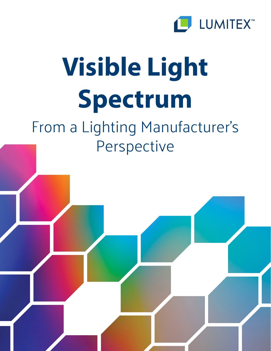

# **Visible Light Spectrum**

## From a Lighting Manufacturer's Perspective

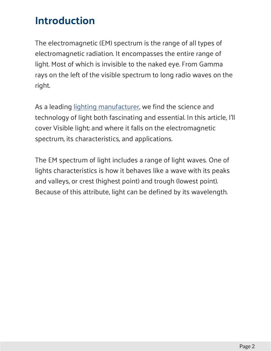#### **Introduction**

The electromagnetic (EM) spectrum is the range of all types of electromagnetic radiation. It encompasses the entire range of light. Most of which is invisible to the naked eye. From Gamma rays on the left of the visible spectrum to long radio waves on the right.

As a leading [lighting manufacturer](https://www.lumitex.com/lighting-applications), we find the science and technology of light both fascinating and essential. In this article, I'll cover Visible light; and where it falls on the electromagnetic spectrum, its characteristics, and applications.

The EM spectrum of light includes a range of light waves. One of lights characteristics is how it behaves like a wave with its peaks and valleys, or crest (highest point) and trough (lowest point). Because of this attribute, light can be defined by its wavelength.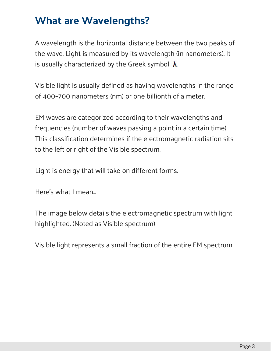#### **What are Wavelengths?**

A wavelength is the horizontal distance between the two peaks of the wave. Light is measured by its wavelength (in nanometers). It is usually characterized by the Greek symbol  $\lambda$ .

Visible light is usually defined as having wavelengths in the range of 400–700 nanometers (nm) or one billionth of a meter.

EM waves are categorized according to their wavelengths and frequencies (number of waves passing a point in a certain time). This classification determines if the electromagnetic radiation sits to the left or right of the Visible spectrum.

Light is energy that will take on different forms.

Here's what I mean...

The image below details the electromagnetic spectrum with light highlighted. (Noted as Visible spectrum)

Visible light represents a small fraction of the entire EM spectrum.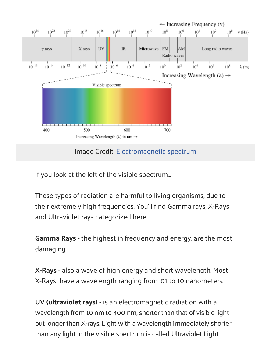

Image Credit: [Electromagnetic spectrum](https://upload.wikimedia.org/wikipedia/commons/thumb/f/f1/EM_spectrum.svg/800px-EM_spectrum.svg.png)

If you look at the left of the visible spectrum...

These types of radiation are harmful to living organisms, due to their extremely high frequencies. You'll find Gamma rays, X-Rays and Ultraviolet rays categorized here.

**Gamma Rays** - the highest in frequency and energy, are the most damaging.

**X-Rays** - also a wave of high energy and short wavelength. Most X-Rays have a wavelength ranging from .01 to 10 nanometers.

**UV (ultraviolet rays)** - is an electromagnetic radiation with a wavelength from 10 nm to 400 nm, shorter than that of visible light but longer than X-rays. Light with a wavelength immediately shorter than any light in the visible spectrum is called Ultraviolet Light.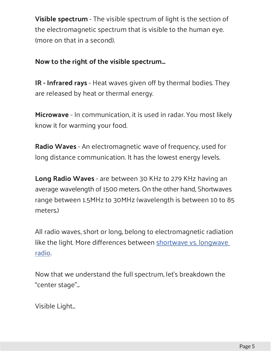**Visible spectrum** - The visible spectrum of light is the section of the electromagnetic spectrum that is visible to the human eye. (more on that in a second).

#### **Now to the right of the visible spectrum...**

**IR - Infrared rays** - Heat waves given off by thermal bodies. They are released by heat or thermal energy.

**Microwave** - In communication, it is used in radar. You most likely know it for warming your food.

**Radio Waves** - An electromagnetic wave of frequency, used for long distance communication. It has the lowest energy levels.

**Long Radio Waves** - are between 30 KHz to 279 KHz having an average wavelength of 1500 meters. On the other hand, Shortwaves range between 1.5MHz to 30MHz (wavelength is between 10 to 85 meters.)

All radio waves, short or long, belong to electromagnetic radiation like the light. More differences between [shortwave vs. longwave](https://www.seaslugteam.com/shortwave-vs-longwave-radio/)  [radio](https://www.seaslugteam.com/shortwave-vs-longwave-radio/).

Now that we understand the full spectrum, let's breakdown the "center stage"...

Visible Light...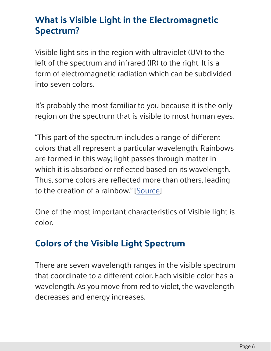#### **What is Visible Light in the Electromagnetic Spectrum?**

Visible light sits in the region with ultraviolet (UV) to the left of the spectrum and infrared (IR) to the right. It is a form of electromagnetic radiation which can be subdivided into seven colors.

It's probably the most familiar to you because it is the only region on the spectrum that is visible to most human eyes.

"This part of the spectrum includes a range of different colors that all represent a particular wavelength. Rainbows are formed in this way; light passes through matter in which it is absorbed or reflected based on its wavelength. Thus, some colors are reflected more than others, leading to the creation of a rainbow." [[Source](https://chem.libretexts.org/Core/Physical_and_Theoretical_Chemistry/Spectroscopy/Fundamentals_of_Spectroscopy/Electromagnetic_Radiation)]

One of the most important characteristics of Visible light is color.

#### **Colors of the Visible Light Spectrum**

There are seven wavelength ranges in the visible spectrum that coordinate to a different color. Each visible color has a wavelength. As you move from red to violet, the wavelength decreases and energy increases.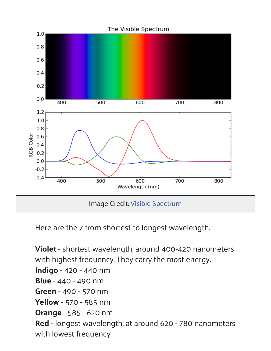

Here are the 7 from shortest to longest wavelength.

**Violet** - shortest wavelength, around 400-420 nanometers with highest frequency. They carry the most energy. **Indigo** - 420 - 440 nm **Blue** - 440 - 490 nm **Green** - 490 - 570 nm **Yellow** - 570 - 585 nm **Orange** - 585 - 620 nm **Red** - longest wavelength, at around 620 - 780 nanometers with lowest frequency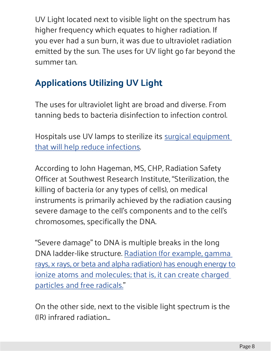UV Light located next to visible light on the spectrum has higher frequency which equates to higher radiation. If you ever had a sun burn, it was due to ultraviolet radiation emitted by the sun. The uses for UV light go far beyond the summer tan.

#### **Applications Utilizing UV Light**

The uses for ultraviolet light are broad and diverse. From tanning beds to bacteria disinfection to infection control.

Hospitals use UV lamps to sterilize its [surgical equipment](https://www.lumitex.com/blog/surgical-equipment)  [that will help reduce infections](https://www.lumitex.com/blog/surgical-equipment).

According to John Hageman, MS, CHP, Radiation Safety Officer at Southwest Research Institute, "Sterilization, the killing of bacteria (or any types of cells), on medical instruments is primarily achieved by the radiation causing severe damage to the cell's components and to the cell's chromosomes, specifically the DNA.

"Severe damage" to DNA is multiple breaks in the long DNA ladder-like structure. [Radiation \(for example, gamma](https://hps.org/publicinformation/ate/q4004.html)  [rays, x rays, or beta and alpha radiation\) has enough energy to](https://hps.org/publicinformation/ate/q4004.html)  [ionize atoms and molecules; that is, it can create charged](https://hps.org/publicinformation/ate/q4004.html)  [particles and free radicals."](https://hps.org/publicinformation/ate/q4004.html)

On the other side, next to the visible light spectrum is the (IR) infrared radiation...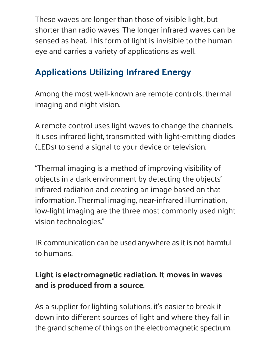These waves are longer than those of visible light, but shorter than radio waves. The longer infrared waves can be sensed as heat. This form of light is invisible to the human eye and carries a variety of applications as well.

#### **Applications Utilizing Infrared Energy**

Among the most well-known are remote controls, thermal imaging and night vision.

A remote control uses light waves to change the channels. It uses infrared light, transmitted with light-emitting diodes (LEDs) to send a signal to your device or television.

"Thermal imaging is a method of improving visibility of objects in a dark environment by detecting the objects' infrared radiation and creating an image based on that information. Thermal imaging, near-infrared illumination, low-light imaging are the three most commonly used night vision technologies."

IR communication can be used anywhere as it is not harmful to humans.

#### **Light is electromagnetic radiation. It moves in waves and is produced from a source.**

As a supplier for lighting solutions, it's easier to break it down into different sources of light and where they fall in the grand scheme of things on the electromagnetic spectrum.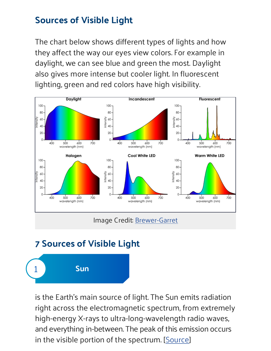#### **Sources of Visible Light**

The chart below shows different types of lights and how they affect the way our eyes view colors. For example in daylight, we can see blue and green the most. Daylight also gives more intense but cooler light. In fluorescent lighting, green and red colors have high visibility.



Image Credit: [Brewer-Garret](https://www.brewer-garrett.com/lighting-creates-positive-atmosphere/)

#### **7 Sources of Visible Light**



is the Earth's main source of light. The Sun emits radiation right across the electromagnetic spectrum, from extremely high-energy X-rays to ultra-long-wavelength radio waves, and everything in-between. The peak of this emission occurs in the visible portion of the spectrum. [[Source](http://www.sciencefocus.com/qa/how-much-electromagnetic-spectrum-does-sun-emit)]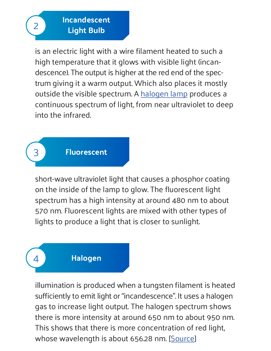**Incandescent Light Bulb**

is an electric light with a wire filament heated to such a high temperature that it glows with visible light (incandescence). The output is higher at the red end of the spectrum giving it a warm output. Which also places it mostly outside the visible spectrum. A [halogen lamp](http://www.wikiwand.com/en/Halogen_lamp) produces a continuous spectrum of light, from near ultraviolet to deep into the infrared.



3

4

2

**Fluorescent**

short-wave ultraviolet light that causes a phosphor coating on the inside of the lamp to glow. The fluorescent light spectrum has a high intensity at around 480 nm to about 570 nm. Fluorescent lights are mixed with other types of lights to produce a light that is closer to sunlight.

#### **Halogen**

illumination is produced when a tungsten filament is heated sufficiently to emit light or "incandescence". It uses a halogen gas to increase light output. The halogen spectrum shows there is more intensity at around 650 nm to about 950 nm. This shows that there is more concentration of red light, whose wavelength is about 656.28 nm. [\[Source](https://www.mtholyoke.edu/~mpeterso/classes/phys301/projects2001/awgachor/awgachor.htm)]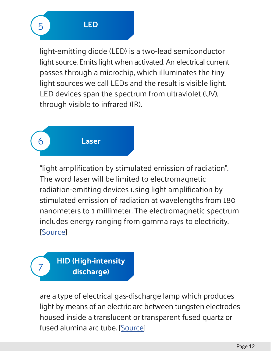$\overline{\phantom{a}}$ 

5

light-emitting diode (LED) is a two-lead semiconductor light source. Emits light when activated. An electrical current passes through a microchip, which illuminates the tiny light sources we call LEDs and the result is visible light. LED devices span the spectrum from ultraviolet (UV), through visible to infrared (IR).

### 6 **Laser**

"light amplification by stimulated emission of radiation". The word laser will be limited to electromagnetic radiation-emitting devices using light amplification by stimulated emission of radiation at wavelengths from 180 nanometers to 1 millimeter. The electromagnetic spectrum includes energy ranging from gamma rays to electricity. [[Source](https://aspenlasers.com/laser-wavelengths/)]

#### 7 **HID (High-intensity discharge)**

are a type of electrical gas-discharge lamp which produces light by means of an electric arc between tungsten electrodes housed inside a translucent or transparent fused quartz or fused alumina arc tube. [[Source](https://en.wikipedia.org/wiki/High-intensity_discharge_lamp)]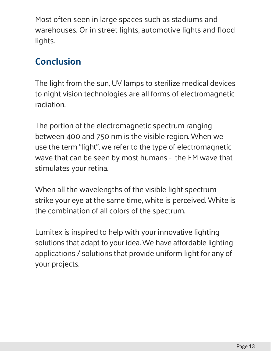Most often seen in large spaces such as stadiums and warehouses. Or in street lights, automotive lights and flood lights.

#### **Conclusion**

The light from the sun, UV lamps to sterilize medical devices to night vision technologies are all forms of electromagnetic radiation.

The portion of the electromagnetic spectrum ranging between 400 and 750 nm is the visible region. When we use the term "light", we refer to the type of electromagnetic wave that can be seen by most humans - the EM wave that stimulates your retina.

When all the wavelengths of the visible light spectrum strike your eye at the same time, white is perceived. White is the combination of all colors of the spectrum.

Lumitex is inspired to help with your innovative lighting solutions that adapt to your idea. We have affordable lighting applications / solutions that provide uniform light for any of your projects.